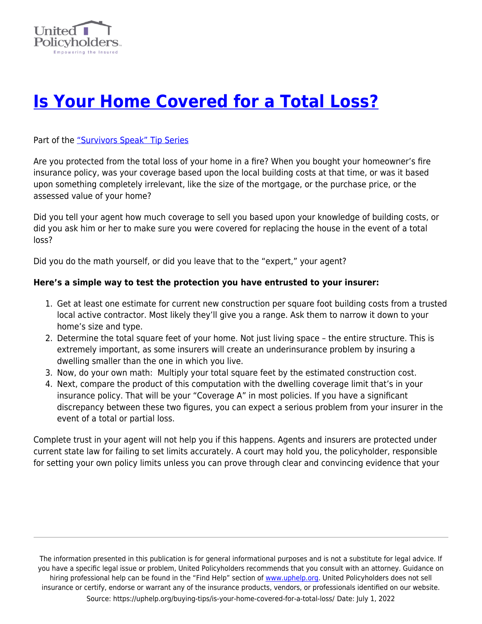

## **[Is Your Home Covered for a Total Loss?](https://uphelp.org/buying-tips/is-your-home-covered-for-a-total-loss/)**

Part of the ["Survivors Speak" Tip Series](https://uphelp.org/claim-guidance-publications/survivors-speak-tip-series/)

Are you protected from the total loss of your home in a fire? When you bought your homeowner's fire insurance policy, was your coverage based upon the local building costs at that time, or was it based upon something completely irrelevant, like the size of the mortgage, or the purchase price, or the assessed value of your home?

Did you tell your agent how much coverage to sell you based upon your knowledge of building costs, or did you ask him or her to make sure you were covered for replacing the house in the event of a total loss?

Did you do the math yourself, or did you leave that to the "expert," your agent?

## **Here's a simple way to test the protection you have entrusted to your insurer:**

- 1. Get at least one estimate for current new construction per square foot building costs from a trusted local active contractor. Most likely they'll give you a range. Ask them to narrow it down to your home's size and type.
- 2. Determine the total square feet of your home. Not just living space the entire structure. This is extremely important, as some insurers will create an underinsurance problem by insuring a dwelling smaller than the one in which you live.
- 3. Now, do your own math: Multiply your total square feet by the estimated construction cost.
- 4. Next, compare the product of this computation with the dwelling coverage limit that's in your insurance policy. That will be your "Coverage A" in most policies. If you have a significant discrepancy between these two figures, you can expect a serious problem from your insurer in the event of a total or partial loss.

Complete trust in your agent will not help you if this happens. Agents and insurers are protected under current state law for failing to set limits accurately. A court may hold you, the policyholder, responsible for setting your own policy limits unless you can prove through clear and convincing evidence that your

The information presented in this publication is for general informational purposes and is not a substitute for legal advice. If you have a specific legal issue or problem, United Policyholders recommends that you consult with an attorney. Guidance on hiring professional help can be found in the "Find Help" section of [www.uphelp.org.](http://www.uphelp.org/) United Policyholders does not sell insurance or certify, endorse or warrant any of the insurance products, vendors, or professionals identified on our website. Source: https://uphelp.org/buying-tips/is-your-home-covered-for-a-total-loss/ Date: July 1, 2022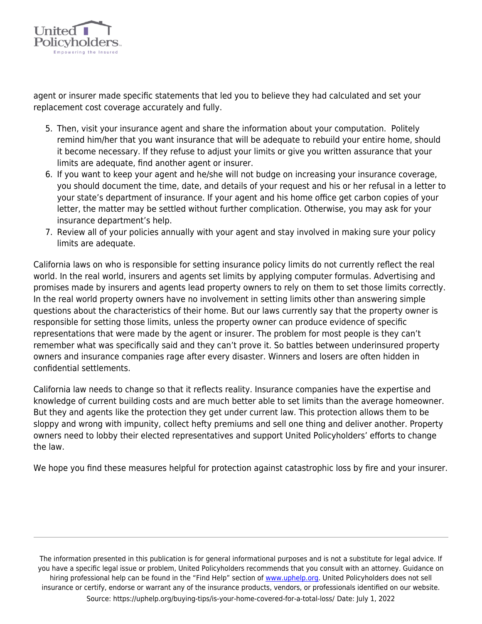

agent or insurer made specific statements that led you to believe they had calculated and set your replacement cost coverage accurately and fully.

- 5. Then, visit your insurance agent and share the information about your computation. Politely remind him/her that you want insurance that will be adequate to rebuild your entire home, should it become necessary. If they refuse to adjust your limits or give you written assurance that your limits are adequate, find another agent or insurer.
- 6. If you want to keep your agent and he/she will not budge on increasing your insurance coverage, you should document the time, date, and details of your request and his or her refusal in a letter to your state's department of insurance. If your agent and his home office get carbon copies of your letter, the matter may be settled without further complication. Otherwise, you may ask for your insurance department's help.
- 7. Review all of your policies annually with your agent and stay involved in making sure your policy limits are adequate.

California laws on who is responsible for setting insurance policy limits do not currently reflect the real world. In the real world, insurers and agents set limits by applying computer formulas. Advertising and promises made by insurers and agents lead property owners to rely on them to set those limits correctly. In the real world property owners have no involvement in setting limits other than answering simple questions about the characteristics of their home. But our laws currently say that the property owner is responsible for setting those limits, unless the property owner can produce evidence of specific representations that were made by the agent or insurer. The problem for most people is they can't remember what was specifically said and they can't prove it. So battles between underinsured property owners and insurance companies rage after every disaster. Winners and losers are often hidden in confidential settlements.

California law needs to change so that it reflects reality. Insurance companies have the expertise and knowledge of current building costs and are much better able to set limits than the average homeowner. But they and agents like the protection they get under current law. This protection allows them to be sloppy and wrong with impunity, collect hefty premiums and sell one thing and deliver another. Property owners need to lobby their elected representatives and support United Policyholders' efforts to change the law.

We hope you find these measures helpful for protection against catastrophic loss by fire and your insurer.

The information presented in this publication is for general informational purposes and is not a substitute for legal advice. If you have a specific legal issue or problem, United Policyholders recommends that you consult with an attorney. Guidance on hiring professional help can be found in the "Find Help" section of [www.uphelp.org.](http://www.uphelp.org/) United Policyholders does not sell insurance or certify, endorse or warrant any of the insurance products, vendors, or professionals identified on our website. Source: https://uphelp.org/buying-tips/is-your-home-covered-for-a-total-loss/ Date: July 1, 2022